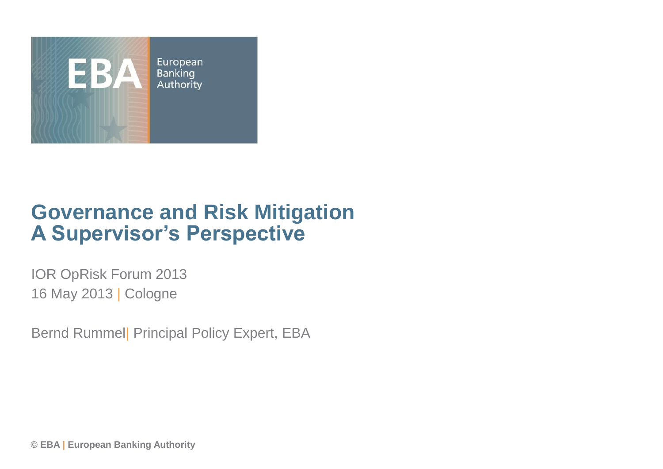

### **Governance and Risk Mitigation A Supervisor's Perspective**

IOR OpRisk Forum 2013 16 May 2013 | Cologne

Bernd Rummel| Principal Policy Expert, EBA

**© EBA | European Banking Authority**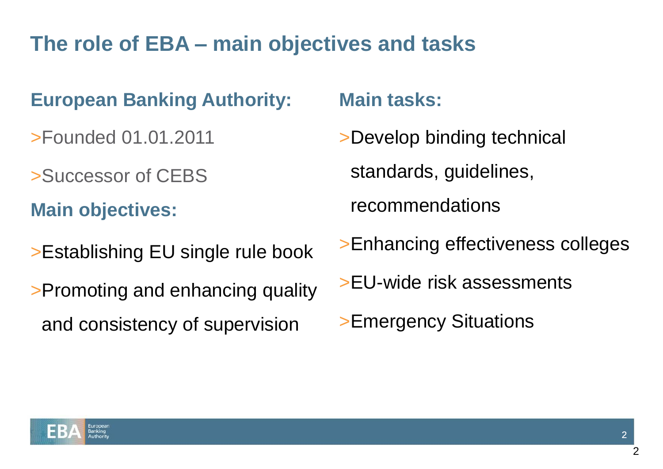## **The role of EBA – main objectives and tasks**

### **European Banking Authority:**

>Founded 01.01.2011

>Successor of CEBS

**Main objectives:**

>Establishing EU single rule book

>Promoting and enhancing quality and consistency of supervision

#### **Main tasks:**

- >Develop binding technical standards, guidelines, recommendations
- >Enhancing effectiveness colleges
- >EU-wide risk assessments
- >Emergency Situations

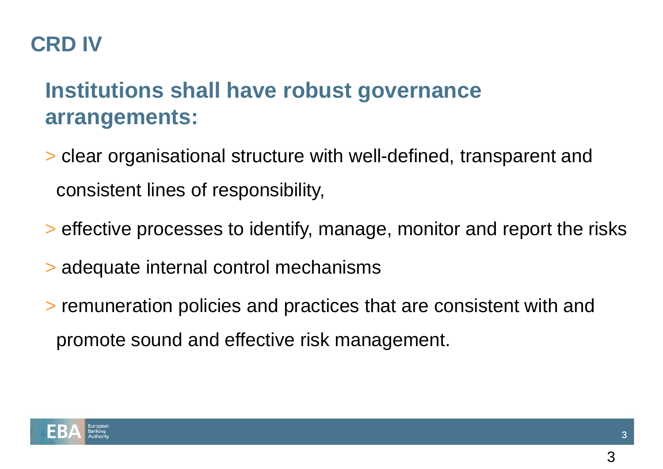## **CRD IV**

# **Institutions shall have robust governance arrangements:**

- > clear organisational structure with well-defined, transparent and consistent lines of responsibility,
- > effective processes to identify, manage, monitor and report the risks
- > adequate internal control mechanisms
- > remuneration policies and practices that are consistent with and promote sound and effective risk management.

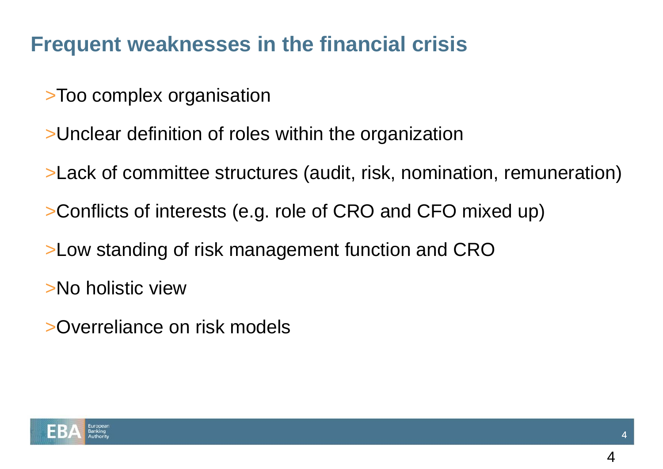## **Frequent weaknesses in the financial crisis**

- >Too complex organisation
- >Unclear definition of roles within the organization
- >Lack of committee structures (audit, risk, nomination, remuneration)
- >Conflicts of interests (e.g. role of CRO and CFO mixed up)
- >Low standing of risk management function and CRO
- >No holistic view
- >Overreliance on risk models

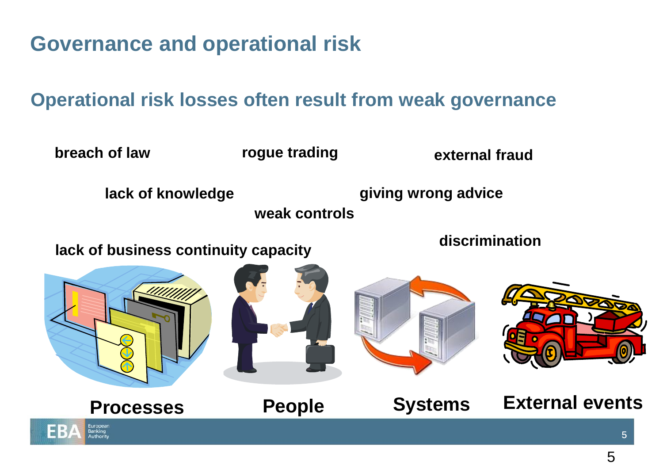**Governance and operational risk**

#### **Operational risk losses often result from weak governance**

**breach of law**

**rogue trading**

**external fraud**

**lack of knowledge giving wrong advice**

**weak controls**

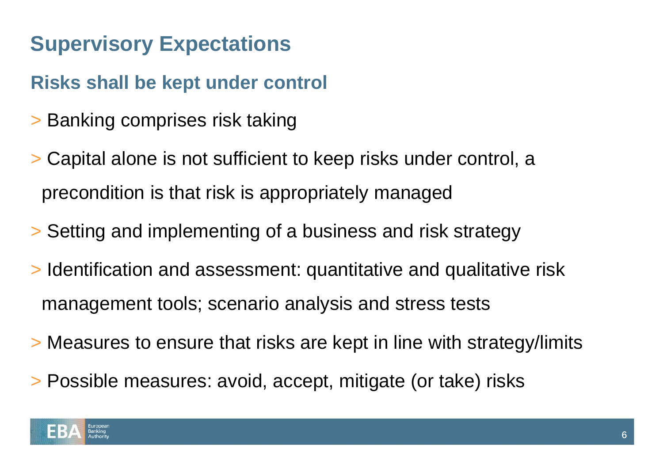## **Supervisory Expectations**

### **Risks shall be kept under control**

- > Banking comprises risk taking
- > Capital alone is not sufficient to keep risks under control, a precondition is that risk is appropriately managed
- > Setting and implementing of a business and risk strategy
- > Identification and assessment: quantitative and qualitative risk management tools; scenario analysis and stress tests
- > Measures to ensure that risks are kept in line with strategy/limits
- > Possible measures: avoid, accept, mitigate (or take) risks

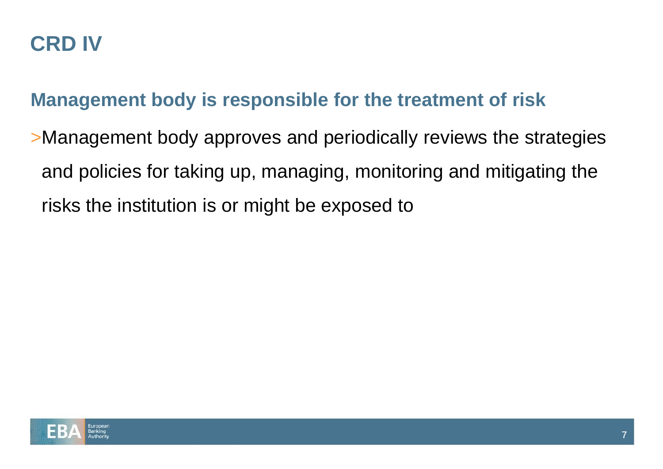### **CRD IV**

#### **Management body is responsible for the treatment of risk**

>Management body approves and periodically reviews the strategies and policies for taking up, managing, monitoring and mitigating the risks the institution is or might be exposed to

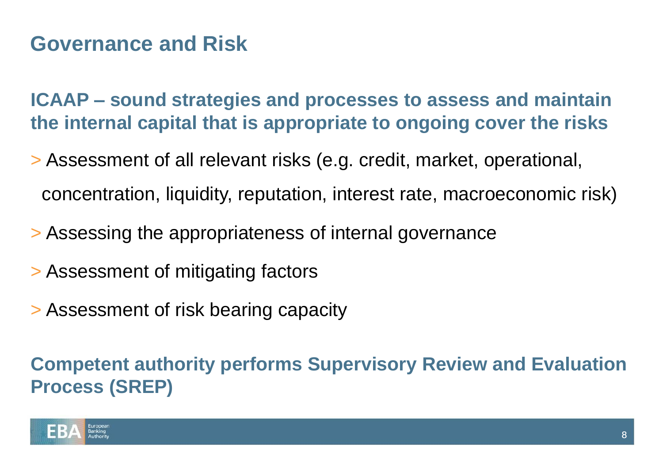## **Governance and Risk**

**ICAAP – sound strategies and processes to assess and maintain the internal capital that is appropriate to ongoing cover the risks**

- > Assessment of all relevant risks (e.g. credit, market, operational, concentration, liquidity, reputation, interest rate, macroeconomic risk)
- > Assessing the appropriateness of internal governance
- > Assessment of mitigating factors
- > Assessment of risk bearing capacity

**Competent authority performs Supervisory Review and Evaluation Process (SREP)**

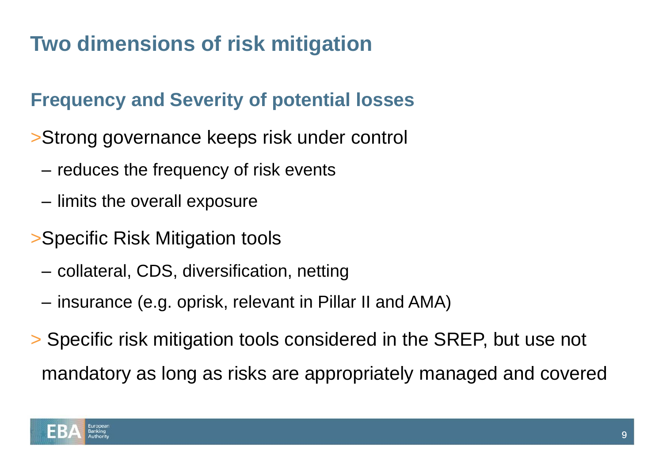# **Two dimensions of risk mitigation**

### **Frequency and Severity of potential losses**

- >Strong governance keeps risk under control
	- reduces the frequency of risk events
	- limits the overall exposure
- >Specific Risk Mitigation tools
	- collateral, CDS, diversification, netting
	- insurance (e.g. oprisk, relevant in Pillar II and AMA)
- > Specific risk mitigation tools considered in the SREP, but use not mandatory as long as risks are appropriately managed and covered

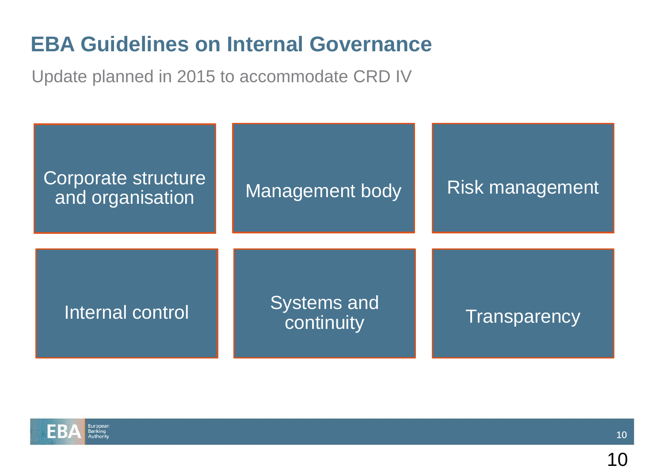## **EBA Guidelines on Internal Governance**

Update planned in 2015 to accommodate CRD IV



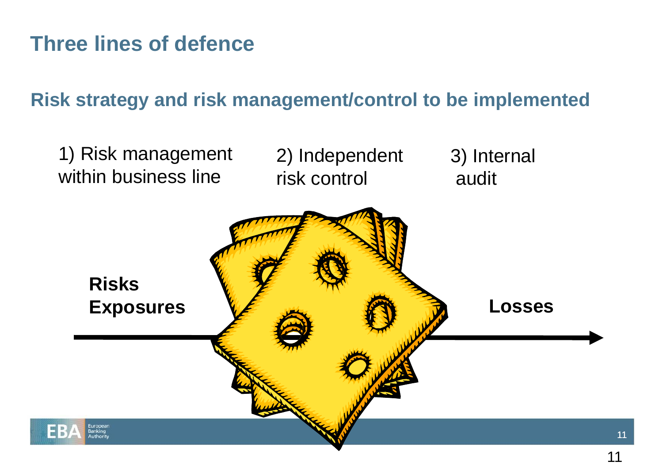## **Three lines of defence**

#### **Risk strategy and risk management/control to be implemented**



11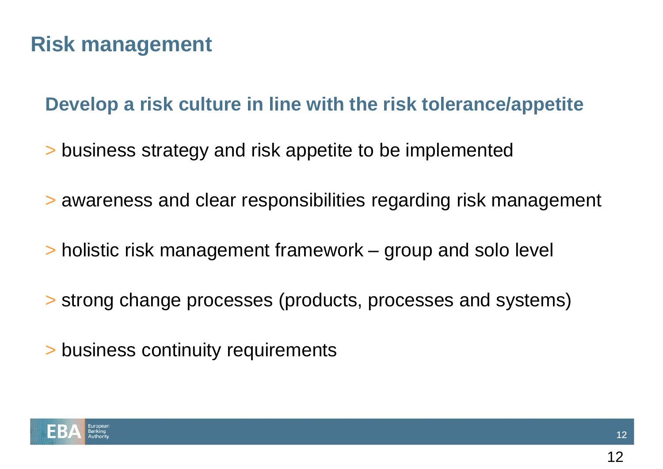## **Risk management**

#### **Develop a risk culture in line with the risk tolerance/appetite**

- > business strategy and risk appetite to be implemented
- > awareness and clear responsibilities regarding risk management
- > holistic risk management framework group and solo level
- > strong change processes (products, processes and systems)
- > business continuity requirements

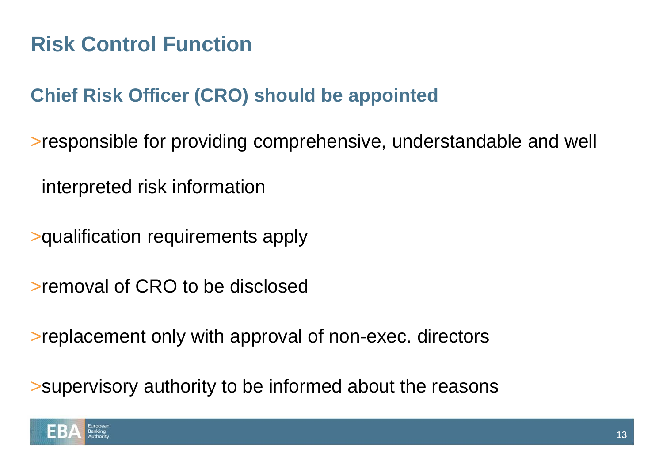## **Risk Control Function**

### **Chief Risk Officer (CRO) should be appointed**

>responsible for providing comprehensive, understandable and well

interpreted risk information

>qualification requirements apply

>removal of CRO to be disclosed

>replacement only with approval of non-exec. directors

>supervisory authority to be informed about the reasons

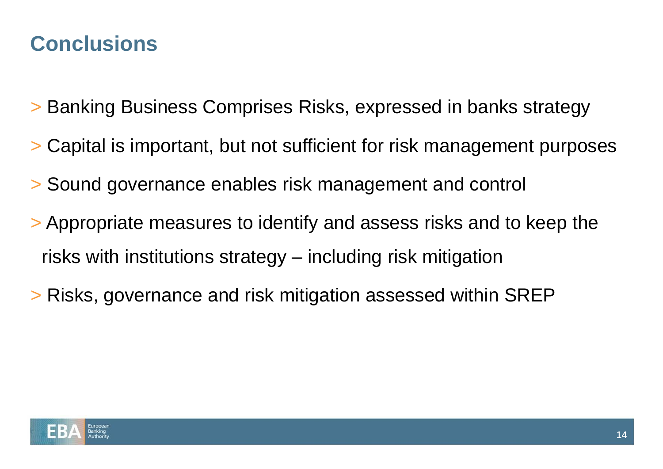### **Conclusions**

- > Banking Business Comprises Risks, expressed in banks strategy
- > Capital is important, but not sufficient for risk management purposes
- > Sound governance enables risk management and control
- > Appropriate measures to identify and assess risks and to keep the risks with institutions strategy – including risk mitigation
- > Risks, governance and risk mitigation assessed within SREP